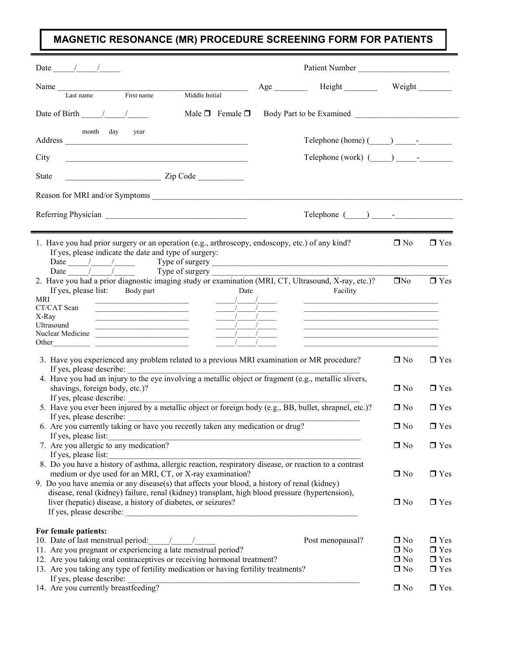## MAGNETIC RESONANCE (MR) PROCEDURE SCREENING FORM FOR PATIENTS

| Date $\frac{1}{\sqrt{2}}$                                                                                                                                                                                                                                                                                                                                                                                                                                                                                                                                                                                                                                                        | Patient Number                                                        |                                           |                                        |
|----------------------------------------------------------------------------------------------------------------------------------------------------------------------------------------------------------------------------------------------------------------------------------------------------------------------------------------------------------------------------------------------------------------------------------------------------------------------------------------------------------------------------------------------------------------------------------------------------------------------------------------------------------------------------------|-----------------------------------------------------------------------|-------------------------------------------|----------------------------------------|
| Name Last name First name Middle Initial                                                                                                                                                                                                                                                                                                                                                                                                                                                                                                                                                                                                                                         | Age Height Weight                                                     |                                           |                                        |
|                                                                                                                                                                                                                                                                                                                                                                                                                                                                                                                                                                                                                                                                                  |                                                                       |                                           |                                        |
| Date of Birth $\frac{\sqrt{2}}{2}$<br>Male $\Box$ Female $\Box$                                                                                                                                                                                                                                                                                                                                                                                                                                                                                                                                                                                                                  |                                                                       |                                           |                                        |
| month day<br>year<br>Address                                                                                                                                                                                                                                                                                                                                                                                                                                                                                                                                                                                                                                                     | $\text{Telephone (home)} (\_\_\_\_\_\_\_\_\_\$                        |                                           |                                        |
| City<br><u> 1989 - Johann John Stone, mars and de film and de film and de film and de film and de film and de film and de</u>                                                                                                                                                                                                                                                                                                                                                                                                                                                                                                                                                    | Telephone (work) $(\_\_\_\_\_\_\_\_\$                                 |                                           |                                        |
| $\frac{1}{\sqrt{1-\frac{1}{2}}\sqrt{1-\frac{1}{2}}\sqrt{1-\frac{1}{2}}\sqrt{1-\frac{1}{2}}\sqrt{1-\frac{1}{2}}\sqrt{1-\frac{1}{2}}\sqrt{1-\frac{1}{2}}\sqrt{1-\frac{1}{2}}\sqrt{1-\frac{1}{2}}\sqrt{1-\frac{1}{2}}\sqrt{1-\frac{1}{2}}\sqrt{1-\frac{1}{2}}\sqrt{1-\frac{1}{2}}\sqrt{1-\frac{1}{2}}\sqrt{1-\frac{1}{2}}\sqrt{1-\frac{1}{2}}\sqrt{1-\frac{1}{2}}\sqrt{1-\frac{1}{2}}\sqrt{1-\frac{1}{2}}\sqrt{1-\frac$<br><b>State</b>                                                                                                                                                                                                                                             |                                                                       |                                           |                                        |
|                                                                                                                                                                                                                                                                                                                                                                                                                                                                                                                                                                                                                                                                                  |                                                                       |                                           |                                        |
|                                                                                                                                                                                                                                                                                                                                                                                                                                                                                                                                                                                                                                                                                  | $\text{Telephone } (\_\_\_\_\_\_\$                                    |                                           |                                        |
|                                                                                                                                                                                                                                                                                                                                                                                                                                                                                                                                                                                                                                                                                  |                                                                       |                                           |                                        |
| 1. Have you had prior surgery or an operation (e.g., arthroscopy, endoscopy, etc.) of any kind?<br>If yes, please indicate the date and type of surgery:<br>Date $\frac{1}{\sqrt{2\pi}}$ Type of surgery $\frac{1}{\sqrt{2\pi}}$                                                                                                                                                                                                                                                                                                                                                                                                                                                 |                                                                       | $\square$ No                              | $\Box$ Yes                             |
| Date $\frac{1}{\sqrt{1-\frac{1}{\sqrt{1-\frac{1}{\sqrt{1-\frac{1}{\sqrt{1-\frac{1}{\sqrt{1-\frac{1}{\sqrt{1-\frac{1}{\sqrt{1-\frac{1}{\sqrt{1-\frac{1}{\sqrt{1-\frac{1}{\sqrt{1-\frac{1}{\sqrt{1-\frac{1}{\sqrt{1-\frac{1}{\sqrt{1-\frac{1}{\sqrt{1-\frac{1}{\sqrt{1-\frac{1}{\sqrt{1-\frac{1}{\sqrt{1-\frac{1}{\sqrt{1-\frac{1}{\sqrt{1-\frac{1}{\sqrt{1-\frac{1}{\sqrt{1-\frac{1}{\sqrt{1-\frac{1}{\sqrt{1-\frac{1}{\sqrt{$<br>2. Have you had a prior diagnostic imaging study or examination (MRI, CT, Ultrasound, X-ray, etc.)?<br><u>No</u><br>If yes, please list: Body part<br>Date<br>MRI<br>the control of the control of the control of the control of the control of | Facility<br><u> 1989 - Johann Barnett, fransk politiker (d. 1989)</u> |                                           | $\Box$ Yes                             |
| CT/CAT Scan<br><u> 1989 - Johann Barbara, martin amerikan per</u><br>X-Ray<br><u> Alexandria de la contrada de la contrada de la contrada de la contrada de la contrada de la contrada de la c</u>                                                                                                                                                                                                                                                                                                                                                                                                                                                                               | <u> 1989 - Johann Stoff, amerikansk politiker (d. 1989)</u>           |                                           |                                        |
| Ultrasound<br>Nuclear Medicine                                                                                                                                                                                                                                                                                                                                                                                                                                                                                                                                                                                                                                                   |                                                                       |                                           |                                        |
|                                                                                                                                                                                                                                                                                                                                                                                                                                                                                                                                                                                                                                                                                  |                                                                       |                                           |                                        |
| 3. Have you experienced any problem related to a previous MRI examination or MR procedure?                                                                                                                                                                                                                                                                                                                                                                                                                                                                                                                                                                                       |                                                                       | $\Box$ No                                 | $\Box$ Yes                             |
| If yes, please describe: $\frac{1}{2}$<br>4. Have you had an injury to the eye involving a metallic object or fragment (e.g., metallic slivers,<br>shavings, foreign body, etc.)?<br>If yes, please describe:                                                                                                                                                                                                                                                                                                                                                                                                                                                                    | $\Box$ No                                                             | $\Box$ Yes                                |                                        |
| 5. Have you ever been injured by a metallic object or foreign body (e.g., BB, bullet, shrapnel, etc.)?                                                                                                                                                                                                                                                                                                                                                                                                                                                                                                                                                                           | $\Box$ No                                                             | $\Box$ Yes                                |                                        |
| If yes, please describe:<br>6. Are you currently taking or have you recently taken any medication or drug?                                                                                                                                                                                                                                                                                                                                                                                                                                                                                                                                                                       | $\Box$ No                                                             | $\hfill\blacksquare$<br>Yes               |                                        |
| If yes, please list:<br>7. Are you allergic to any medication?                                                                                                                                                                                                                                                                                                                                                                                                                                                                                                                                                                                                                   | $\square$ No                                                          | $\Box$ Yes                                |                                        |
| If yes, please list:<br>8. Do you have a history of asthma, allergic reaction, respiratory disease, or reaction to a contrast<br>medium or dye used for an MRI, CT, or X-ray examination?<br>9. Do you have anemia or any disease(s) that affects your blood, a history of renal (kidney)                                                                                                                                                                                                                                                                                                                                                                                        | $\Box$ No                                                             | $\Box$ Yes                                |                                        |
| disease, renal (kidney) failure, renal (kidney) transplant, high blood pressure (hypertension),<br>liver (hepatic) disease, a history of diabetes, or seizures?                                                                                                                                                                                                                                                                                                                                                                                                                                                                                                                  |                                                                       | $\Box$ No                                 | $\Box$ Yes                             |
| For female patients:<br>10. Date of last menstrual period: //////<br>11. Are you pregnant or experiencing a late menstrual period?<br>12. Are you taking oral contraceptives or receiving hormonal treatment?                                                                                                                                                                                                                                                                                                                                                                                                                                                                    | Post menopausal?                                                      | $\square$ No<br>$\Box$ No<br>$\square$ No | $\Box$ Yes<br>$\Box$ Yes<br>$\Box$ Yes |
| 13. Are you taking any type of fertility medication or having fertility treatments?<br>If yes, please describe:                                                                                                                                                                                                                                                                                                                                                                                                                                                                                                                                                                  |                                                                       | $\square$ No                              | $\Box$ Yes                             |
| 14. Are you currently breastfeeding?                                                                                                                                                                                                                                                                                                                                                                                                                                                                                                                                                                                                                                             |                                                                       | $\square$ No                              | $\Box$ Yes                             |